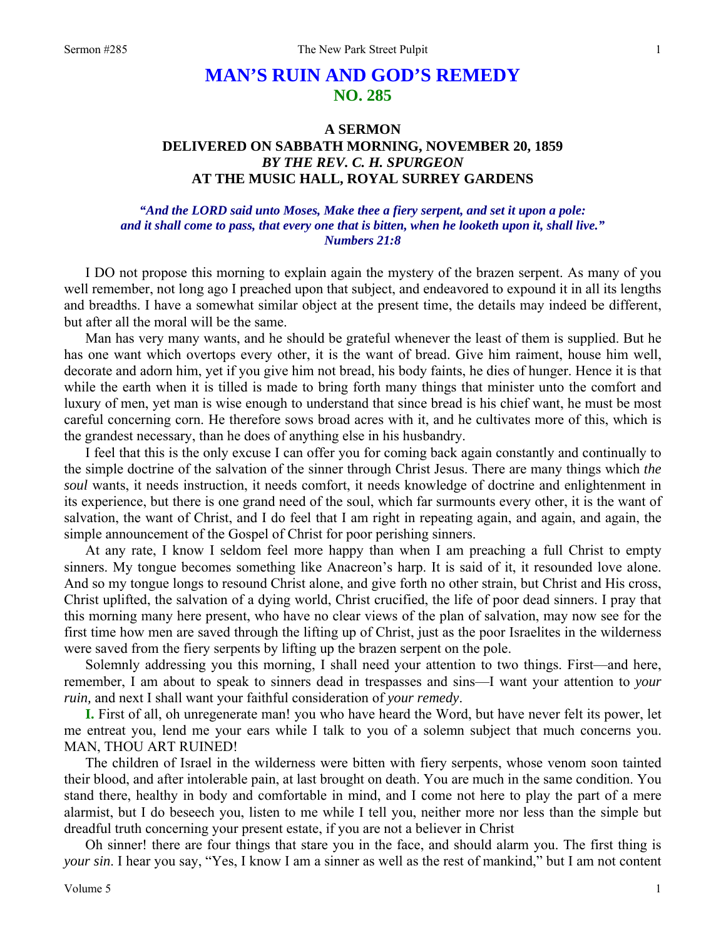## **MAN'S RUIN AND GOD'S REMEDY NO. 285**

## **A SERMON DELIVERED ON SABBATH MORNING, NOVEMBER 20, 1859**  *BY THE REV. C. H. SPURGEON*  **AT THE MUSIC HALL, ROYAL SURREY GARDENS**

## *"And the LORD said unto Moses, Make thee a fiery serpent, and set it upon a pole: and it shall come to pass, that every one that is bitten, when he looketh upon it, shall live." Numbers 21:8*

I DO not propose this morning to explain again the mystery of the brazen serpent. As many of you well remember, not long ago I preached upon that subject, and endeavored to expound it in all its lengths and breadths. I have a somewhat similar object at the present time, the details may indeed be different, but after all the moral will be the same.

Man has very many wants, and he should be grateful whenever the least of them is supplied. But he has one want which overtops every other, it is the want of bread. Give him raiment, house him well, decorate and adorn him, yet if you give him not bread, his body faints, he dies of hunger. Hence it is that while the earth when it is tilled is made to bring forth many things that minister unto the comfort and luxury of men, yet man is wise enough to understand that since bread is his chief want, he must be most careful concerning corn. He therefore sows broad acres with it, and he cultivates more of this, which is the grandest necessary, than he does of anything else in his husbandry.

I feel that this is the only excuse I can offer you for coming back again constantly and continually to the simple doctrine of the salvation of the sinner through Christ Jesus. There are many things which *the soul* wants, it needs instruction, it needs comfort, it needs knowledge of doctrine and enlightenment in its experience, but there is one grand need of the soul, which far surmounts every other, it is the want of salvation, the want of Christ, and I do feel that I am right in repeating again, and again, and again, the simple announcement of the Gospel of Christ for poor perishing sinners.

At any rate, I know I seldom feel more happy than when I am preaching a full Christ to empty sinners. My tongue becomes something like Anacreon's harp. It is said of it, it resounded love alone. And so my tongue longs to resound Christ alone, and give forth no other strain, but Christ and His cross, Christ uplifted, the salvation of a dying world, Christ crucified, the life of poor dead sinners. I pray that this morning many here present, who have no clear views of the plan of salvation, may now see for the first time how men are saved through the lifting up of Christ, just as the poor Israelites in the wilderness were saved from the fiery serpents by lifting up the brazen serpent on the pole.

Solemnly addressing you this morning, I shall need your attention to two things. First—and here, remember, I am about to speak to sinners dead in trespasses and sins—I want your attention to *your ruin,* and next I shall want your faithful consideration of *your remedy*.

**I.** First of all, oh unregenerate man! you who have heard the Word, but have never felt its power, let me entreat you, lend me your ears while I talk to you of a solemn subject that much concerns you. MAN, THOU ART RUINED!

The children of Israel in the wilderness were bitten with fiery serpents, whose venom soon tainted their blood, and after intolerable pain, at last brought on death. You are much in the same condition. You stand there, healthy in body and comfortable in mind, and I come not here to play the part of a mere alarmist, but I do beseech you, listen to me while I tell you, neither more nor less than the simple but dreadful truth concerning your present estate, if you are not a believer in Christ

Oh sinner! there are four things that stare you in the face, and should alarm you. The first thing is *your sin*. I hear you say, "Yes, I know I am a sinner as well as the rest of mankind," but I am not content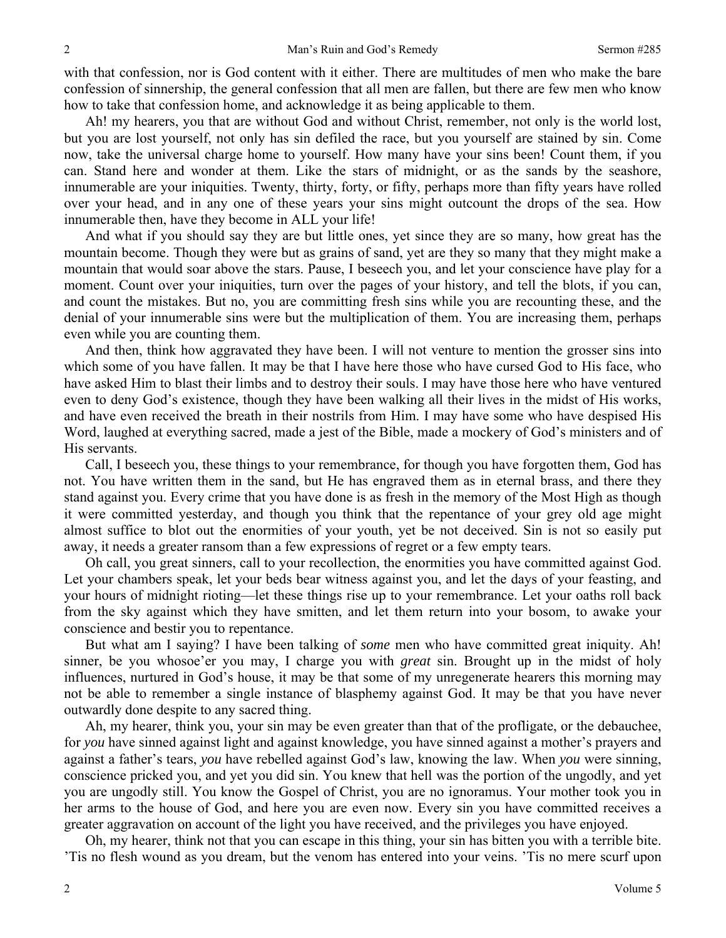with that confession, nor is God content with it either. There are multitudes of men who make the bare confession of sinnership, the general confession that all men are fallen, but there are few men who know how to take that confession home, and acknowledge it as being applicable to them.

Ah! my hearers, you that are without God and without Christ, remember, not only is the world lost, but you are lost yourself, not only has sin defiled the race, but you yourself are stained by sin. Come now, take the universal charge home to yourself. How many have your sins been! Count them, if you can. Stand here and wonder at them. Like the stars of midnight, or as the sands by the seashore, innumerable are your iniquities. Twenty, thirty, forty, or fifty, perhaps more than fifty years have rolled over your head, and in any one of these years your sins might outcount the drops of the sea. How innumerable then, have they become in ALL your life!

And what if you should say they are but little ones, yet since they are so many, how great has the mountain become. Though they were but as grains of sand, yet are they so many that they might make a mountain that would soar above the stars. Pause, I beseech you, and let your conscience have play for a moment. Count over your iniquities, turn over the pages of your history, and tell the blots, if you can, and count the mistakes. But no, you are committing fresh sins while you are recounting these, and the denial of your innumerable sins were but the multiplication of them. You are increasing them, perhaps even while you are counting them.

And then, think how aggravated they have been. I will not venture to mention the grosser sins into which some of you have fallen. It may be that I have here those who have cursed God to His face, who have asked Him to blast their limbs and to destroy their souls. I may have those here who have ventured even to deny God's existence, though they have been walking all their lives in the midst of His works, and have even received the breath in their nostrils from Him. I may have some who have despised His Word, laughed at everything sacred, made a jest of the Bible, made a mockery of God's ministers and of His servants.

Call, I beseech you, these things to your remembrance, for though you have forgotten them, God has not. You have written them in the sand, but He has engraved them as in eternal brass, and there they stand against you. Every crime that you have done is as fresh in the memory of the Most High as though it were committed yesterday, and though you think that the repentance of your grey old age might almost suffice to blot out the enormities of your youth, yet be not deceived. Sin is not so easily put away, it needs a greater ransom than a few expressions of regret or a few empty tears.

Oh call, you great sinners, call to your recollection, the enormities you have committed against God. Let your chambers speak, let your beds bear witness against you, and let the days of your feasting, and your hours of midnight rioting—let these things rise up to your remembrance. Let your oaths roll back from the sky against which they have smitten, and let them return into your bosom, to awake your conscience and bestir you to repentance.

But what am I saying? I have been talking of *some* men who have committed great iniquity. Ah! sinner, be you whosoe'er you may, I charge you with *great* sin. Brought up in the midst of holy influences, nurtured in God's house, it may be that some of my unregenerate hearers this morning may not be able to remember a single instance of blasphemy against God. It may be that you have never outwardly done despite to any sacred thing.

Ah, my hearer, think you, your sin may be even greater than that of the profligate, or the debauchee, for *you* have sinned against light and against knowledge, you have sinned against a mother's prayers and against a father's tears, *you* have rebelled against God's law, knowing the law. When *you* were sinning, conscience pricked you, and yet you did sin. You knew that hell was the portion of the ungodly, and yet you are ungodly still. You know the Gospel of Christ, you are no ignoramus. Your mother took you in her arms to the house of God, and here you are even now. Every sin you have committed receives a greater aggravation on account of the light you have received, and the privileges you have enjoyed.

Oh, my hearer, think not that you can escape in this thing, your sin has bitten you with a terrible bite. 'Tis no flesh wound as you dream, but the venom has entered into your veins. 'Tis no mere scurf upon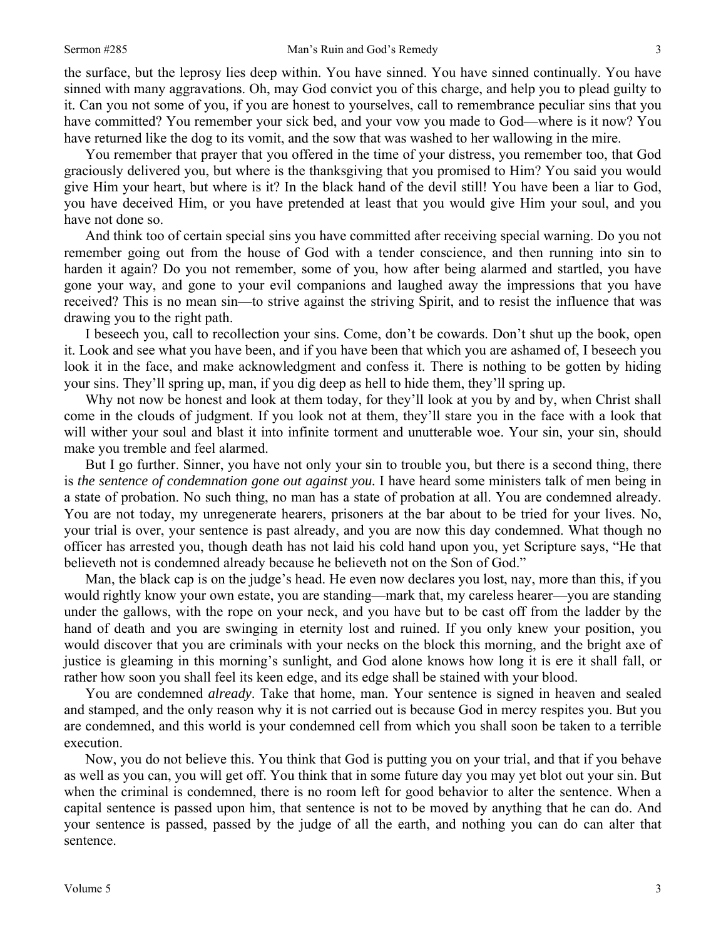the surface, but the leprosy lies deep within. You have sinned. You have sinned continually. You have sinned with many aggravations. Oh, may God convict you of this charge, and help you to plead guilty to it. Can you not some of you, if you are honest to yourselves, call to remembrance peculiar sins that you have committed? You remember your sick bed, and your vow you made to God—where is it now? You have returned like the dog to its vomit, and the sow that was washed to her wallowing in the mire.

You remember that prayer that you offered in the time of your distress, you remember too, that God graciously delivered you, but where is the thanksgiving that you promised to Him? You said you would give Him your heart, but where is it? In the black hand of the devil still! You have been a liar to God, you have deceived Him, or you have pretended at least that you would give Him your soul, and you have not done so.

And think too of certain special sins you have committed after receiving special warning. Do you not remember going out from the house of God with a tender conscience, and then running into sin to harden it again? Do you not remember, some of you, how after being alarmed and startled, you have gone your way, and gone to your evil companions and laughed away the impressions that you have received? This is no mean sin—to strive against the striving Spirit, and to resist the influence that was drawing you to the right path.

I beseech you, call to recollection your sins. Come, don't be cowards. Don't shut up the book, open it. Look and see what you have been, and if you have been that which you are ashamed of, I beseech you look it in the face, and make acknowledgment and confess it. There is nothing to be gotten by hiding your sins. They'll spring up, man, if you dig deep as hell to hide them, they'll spring up.

Why not now be honest and look at them today, for they'll look at you by and by, when Christ shall come in the clouds of judgment. If you look not at them, they'll stare you in the face with a look that will wither your soul and blast it into infinite torment and unutterable woe. Your sin, your sin, should make you tremble and feel alarmed.

But I go further. Sinner, you have not only your sin to trouble you, but there is a second thing, there is *the sentence of condemnation gone out against you.* I have heard some ministers talk of men being in a state of probation. No such thing, no man has a state of probation at all. You are condemned already. You are not today, my unregenerate hearers, prisoners at the bar about to be tried for your lives. No, your trial is over, your sentence is past already, and you are now this day condemned. What though no officer has arrested you, though death has not laid his cold hand upon you, yet Scripture says, "He that believeth not is condemned already because he believeth not on the Son of God."

Man, the black cap is on the judge's head. He even now declares you lost, nay, more than this, if you would rightly know your own estate, you are standing—mark that, my careless hearer—you are standing under the gallows, with the rope on your neck, and you have but to be cast off from the ladder by the hand of death and you are swinging in eternity lost and ruined. If you only knew your position, you would discover that you are criminals with your necks on the block this morning, and the bright axe of justice is gleaming in this morning's sunlight, and God alone knows how long it is ere it shall fall, or rather how soon you shall feel its keen edge, and its edge shall be stained with your blood.

You are condemned *already*. Take that home, man. Your sentence is signed in heaven and sealed and stamped, and the only reason why it is not carried out is because God in mercy respites you. But you are condemned, and this world is your condemned cell from which you shall soon be taken to a terrible execution.

Now, you do not believe this. You think that God is putting you on your trial, and that if you behave as well as you can, you will get off. You think that in some future day you may yet blot out your sin. But when the criminal is condemned, there is no room left for good behavior to alter the sentence. When a capital sentence is passed upon him, that sentence is not to be moved by anything that he can do. And your sentence is passed, passed by the judge of all the earth, and nothing you can do can alter that sentence.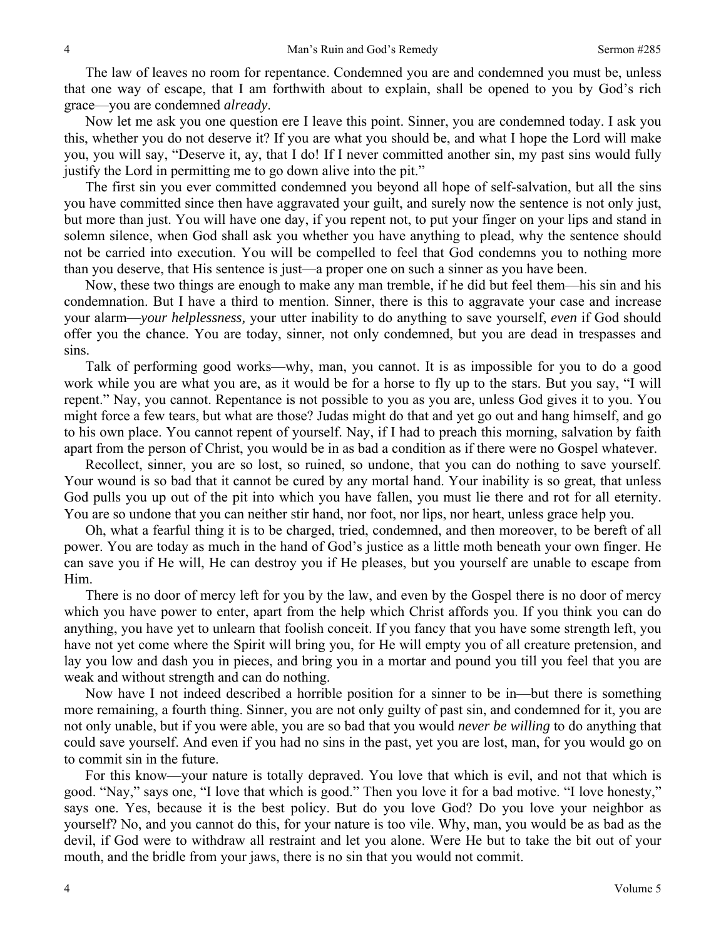The law of leaves no room for repentance. Condemned you are and condemned you must be, unless that one way of escape, that I am forthwith about to explain, shall be opened to you by God's rich grace—you are condemned *already*.

Now let me ask you one question ere I leave this point. Sinner, you are condemned today. I ask you this, whether you do not deserve it? If you are what you should be, and what I hope the Lord will make you, you will say, "Deserve it, ay, that I do! If I never committed another sin, my past sins would fully justify the Lord in permitting me to go down alive into the pit."

The first sin you ever committed condemned you beyond all hope of self-salvation, but all the sins you have committed since then have aggravated your guilt, and surely now the sentence is not only just, but more than just. You will have one day, if you repent not, to put your finger on your lips and stand in solemn silence, when God shall ask you whether you have anything to plead, why the sentence should not be carried into execution. You will be compelled to feel that God condemns you to nothing more than you deserve, that His sentence is just—a proper one on such a sinner as you have been.

Now, these two things are enough to make any man tremble, if he did but feel them—his sin and his condemnation. But I have a third to mention. Sinner, there is this to aggravate your case and increase your alarm—*your helplessness,* your utter inability to do anything to save yourself, *even* if God should offer you the chance. You are today, sinner, not only condemned, but you are dead in trespasses and sins.

Talk of performing good works—why, man, you cannot. It is as impossible for you to do a good work while you are what you are, as it would be for a horse to fly up to the stars. But you say, "I will repent." Nay, you cannot. Repentance is not possible to you as you are, unless God gives it to you. You might force a few tears, but what are those? Judas might do that and yet go out and hang himself, and go to his own place. You cannot repent of yourself. Nay, if I had to preach this morning, salvation by faith apart from the person of Christ, you would be in as bad a condition as if there were no Gospel whatever.

Recollect, sinner, you are so lost, so ruined, so undone, that you can do nothing to save yourself. Your wound is so bad that it cannot be cured by any mortal hand. Your inability is so great, that unless God pulls you up out of the pit into which you have fallen, you must lie there and rot for all eternity. You are so undone that you can neither stir hand, nor foot, nor lips, nor heart, unless grace help you.

Oh, what a fearful thing it is to be charged, tried, condemned, and then moreover, to be bereft of all power. You are today as much in the hand of God's justice as a little moth beneath your own finger. He can save you if He will, He can destroy you if He pleases, but you yourself are unable to escape from Him.

There is no door of mercy left for you by the law, and even by the Gospel there is no door of mercy which you have power to enter, apart from the help which Christ affords you. If you think you can do anything, you have yet to unlearn that foolish conceit. If you fancy that you have some strength left, you have not yet come where the Spirit will bring you, for He will empty you of all creature pretension, and lay you low and dash you in pieces, and bring you in a mortar and pound you till you feel that you are weak and without strength and can do nothing.

Now have I not indeed described a horrible position for a sinner to be in—but there is something more remaining, a fourth thing. Sinner, you are not only guilty of past sin, and condemned for it, you are not only unable, but if you were able, you are so bad that you would *never be willing* to do anything that could save yourself. And even if you had no sins in the past, yet you are lost, man, for you would go on to commit sin in the future.

For this know—your nature is totally depraved. You love that which is evil, and not that which is good. "Nay," says one, "I love that which is good." Then you love it for a bad motive. "I love honesty," says one. Yes, because it is the best policy. But do you love God? Do you love your neighbor as yourself? No, and you cannot do this, for your nature is too vile. Why, man, you would be as bad as the devil, if God were to withdraw all restraint and let you alone. Were He but to take the bit out of your mouth, and the bridle from your jaws, there is no sin that you would not commit.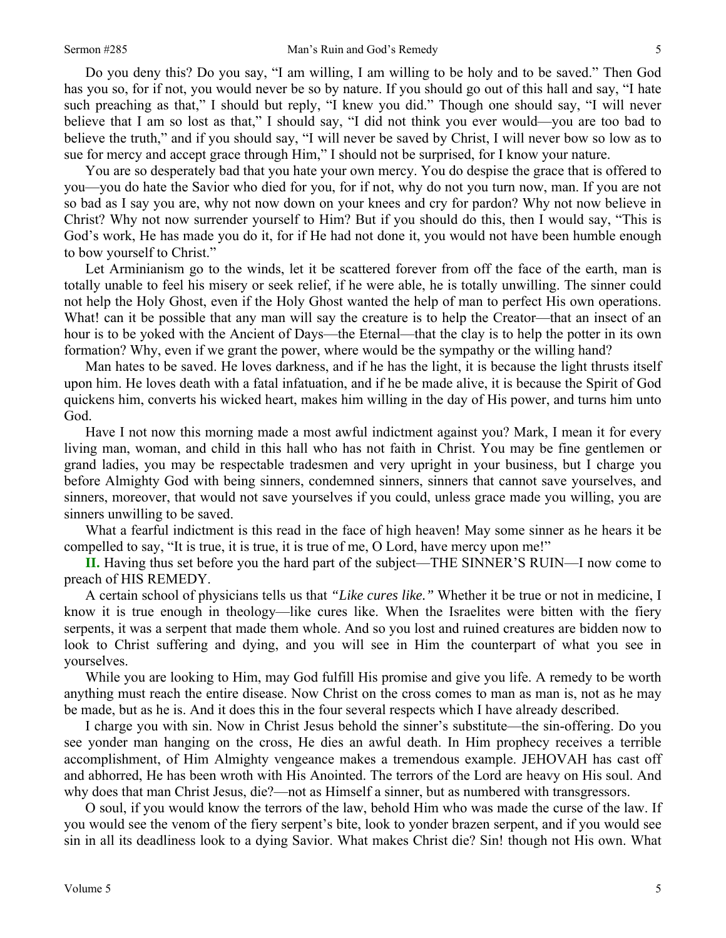Do you deny this? Do you say, "I am willing, I am willing to be holy and to be saved." Then God has you so, for if not, you would never be so by nature. If you should go out of this hall and say, "I hate such preaching as that," I should but reply, "I knew you did." Though one should say, "I will never believe that I am so lost as that," I should say, "I did not think you ever would—you are too bad to believe the truth," and if you should say, "I will never be saved by Christ, I will never bow so low as to sue for mercy and accept grace through Him," I should not be surprised, for I know your nature.

You are so desperately bad that you hate your own mercy. You do despise the grace that is offered to you—you do hate the Savior who died for you, for if not, why do not you turn now, man. If you are not so bad as I say you are, why not now down on your knees and cry for pardon? Why not now believe in Christ? Why not now surrender yourself to Him? But if you should do this, then I would say, "This is God's work, He has made you do it, for if He had not done it, you would not have been humble enough to bow yourself to Christ."

Let Arminianism go to the winds, let it be scattered forever from off the face of the earth, man is totally unable to feel his misery or seek relief, if he were able, he is totally unwilling. The sinner could not help the Holy Ghost, even if the Holy Ghost wanted the help of man to perfect His own operations. What! can it be possible that any man will say the creature is to help the Creator—that an insect of an hour is to be yoked with the Ancient of Days—the Eternal—that the clay is to help the potter in its own formation? Why, even if we grant the power, where would be the sympathy or the willing hand?

Man hates to be saved. He loves darkness, and if he has the light, it is because the light thrusts itself upon him. He loves death with a fatal infatuation, and if he be made alive, it is because the Spirit of God quickens him, converts his wicked heart, makes him willing in the day of His power, and turns him unto God.

Have I not now this morning made a most awful indictment against you? Mark, I mean it for every living man, woman, and child in this hall who has not faith in Christ. You may be fine gentlemen or grand ladies, you may be respectable tradesmen and very upright in your business, but I charge you before Almighty God with being sinners, condemned sinners, sinners that cannot save yourselves, and sinners, moreover, that would not save yourselves if you could, unless grace made you willing, you are sinners unwilling to be saved.

What a fearful indictment is this read in the face of high heaven! May some sinner as he hears it be compelled to say, "It is true, it is true, it is true of me, O Lord, have mercy upon me!"

**II.** Having thus set before you the hard part of the subject—THE SINNER'S RUIN—I now come to preach of HIS REMEDY.

A certain school of physicians tells us that *"Like cures like."* Whether it be true or not in medicine, I know it is true enough in theology—like cures like. When the Israelites were bitten with the fiery serpents, it was a serpent that made them whole. And so you lost and ruined creatures are bidden now to look to Christ suffering and dying, and you will see in Him the counterpart of what you see in yourselves.

While you are looking to Him, may God fulfill His promise and give you life. A remedy to be worth anything must reach the entire disease. Now Christ on the cross comes to man as man is, not as he may be made, but as he is. And it does this in the four several respects which I have already described.

I charge you with sin. Now in Christ Jesus behold the sinner's substitute—the sin-offering. Do you see yonder man hanging on the cross, He dies an awful death. In Him prophecy receives a terrible accomplishment, of Him Almighty vengeance makes a tremendous example. JEHOVAH has cast off and abhorred, He has been wroth with His Anointed. The terrors of the Lord are heavy on His soul. And why does that man Christ Jesus, die?—not as Himself a sinner, but as numbered with transgressors.

O soul, if you would know the terrors of the law, behold Him who was made the curse of the law. If you would see the venom of the fiery serpent's bite, look to yonder brazen serpent, and if you would see sin in all its deadliness look to a dying Savior. What makes Christ die? Sin! though not His own. What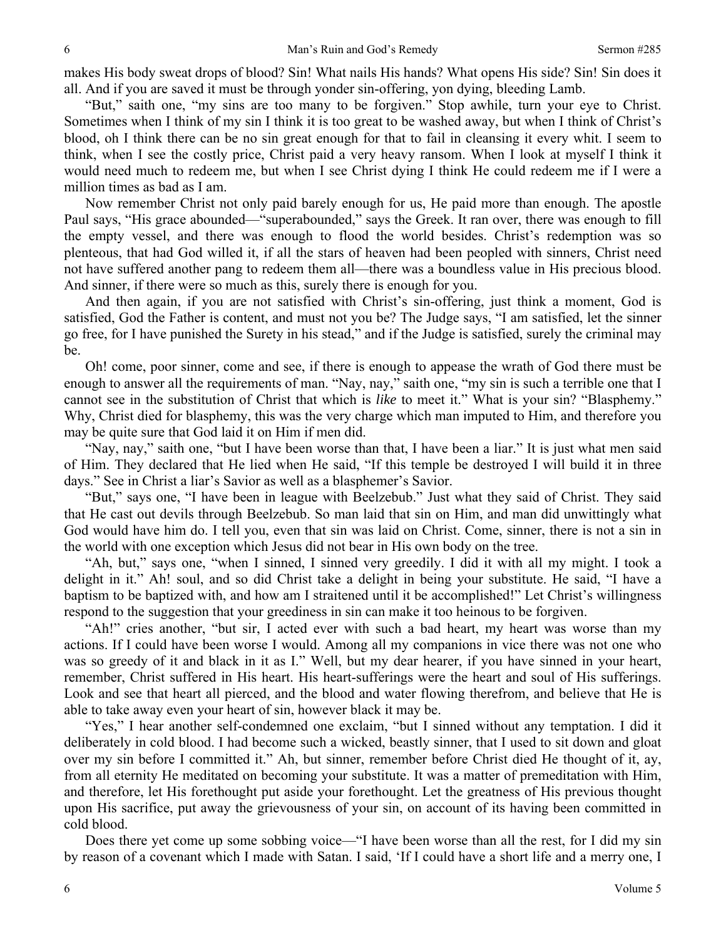makes His body sweat drops of blood? Sin! What nails His hands? What opens His side? Sin! Sin does it all. And if you are saved it must be through yonder sin-offering, yon dying, bleeding Lamb.

"But," saith one, "my sins are too many to be forgiven." Stop awhile, turn your eye to Christ. Sometimes when I think of my sin I think it is too great to be washed away, but when I think of Christ's blood, oh I think there can be no sin great enough for that to fail in cleansing it every whit. I seem to think, when I see the costly price, Christ paid a very heavy ransom. When I look at myself I think it would need much to redeem me, but when I see Christ dying I think He could redeem me if I were a million times as bad as I am.

Now remember Christ not only paid barely enough for us, He paid more than enough. The apostle Paul says, "His grace abounded—"superabounded," says the Greek. It ran over, there was enough to fill the empty vessel, and there was enough to flood the world besides. Christ's redemption was so plenteous, that had God willed it, if all the stars of heaven had been peopled with sinners, Christ need not have suffered another pang to redeem them all—there was a boundless value in His precious blood. And sinner, if there were so much as this, surely there is enough for you.

And then again, if you are not satisfied with Christ's sin-offering, just think a moment, God is satisfied, God the Father is content, and must not you be? The Judge says, "I am satisfied, let the sinner go free, for I have punished the Surety in his stead," and if the Judge is satisfied, surely the criminal may be.

Oh! come, poor sinner, come and see, if there is enough to appease the wrath of God there must be enough to answer all the requirements of man. "Nay, nay," saith one, "my sin is such a terrible one that I cannot see in the substitution of Christ that which is *like* to meet it." What is your sin? "Blasphemy." Why, Christ died for blasphemy, this was the very charge which man imputed to Him, and therefore you may be quite sure that God laid it on Him if men did.

"Nay, nay," saith one, "but I have been worse than that, I have been a liar." It is just what men said of Him. They declared that He lied when He said, "If this temple be destroyed I will build it in three days." See in Christ a liar's Savior as well as a blasphemer's Savior.

"But," says one, "I have been in league with Beelzebub." Just what they said of Christ. They said that He cast out devils through Beelzebub. So man laid that sin on Him, and man did unwittingly what God would have him do. I tell you, even that sin was laid on Christ. Come, sinner, there is not a sin in the world with one exception which Jesus did not bear in His own body on the tree.

"Ah, but," says one, "when I sinned, I sinned very greedily. I did it with all my might. I took a delight in it." Ah! soul, and so did Christ take a delight in being your substitute. He said, "I have a baptism to be baptized with, and how am I straitened until it be accomplished!" Let Christ's willingness respond to the suggestion that your greediness in sin can make it too heinous to be forgiven.

"Ah!" cries another, "but sir, I acted ever with such a bad heart, my heart was worse than my actions. If I could have been worse I would. Among all my companions in vice there was not one who was so greedy of it and black in it as I." Well, but my dear hearer, if you have sinned in your heart, remember, Christ suffered in His heart. His heart-sufferings were the heart and soul of His sufferings. Look and see that heart all pierced, and the blood and water flowing therefrom, and believe that He is able to take away even your heart of sin, however black it may be.

"Yes," I hear another self-condemned one exclaim, "but I sinned without any temptation. I did it deliberately in cold blood. I had become such a wicked, beastly sinner, that I used to sit down and gloat over my sin before I committed it." Ah, but sinner, remember before Christ died He thought of it, ay, from all eternity He meditated on becoming your substitute. It was a matter of premeditation with Him, and therefore, let His forethought put aside your forethought. Let the greatness of His previous thought upon His sacrifice, put away the grievousness of your sin, on account of its having been committed in cold blood.

Does there yet come up some sobbing voice—"I have been worse than all the rest, for I did my sin by reason of a covenant which I made with Satan. I said, 'If I could have a short life and a merry one, I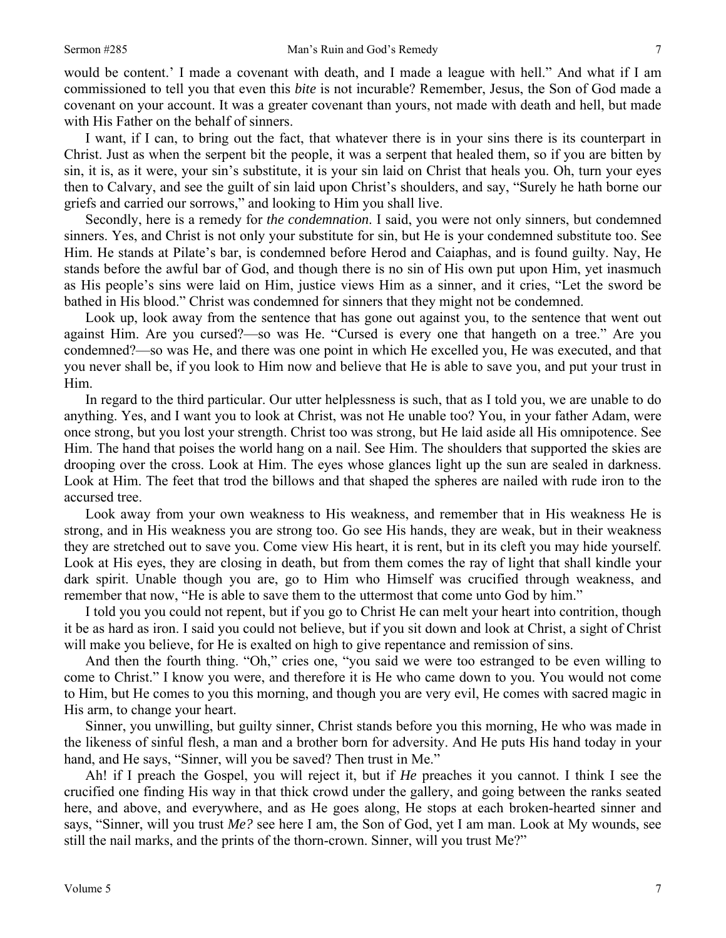would be content.' I made a covenant with death, and I made a league with hell." And what if I am commissioned to tell you that even this *bite* is not incurable? Remember, Jesus, the Son of God made a covenant on your account. It was a greater covenant than yours, not made with death and hell, but made with His Father on the behalf of sinners.

I want, if I can, to bring out the fact, that whatever there is in your sins there is its counterpart in Christ. Just as when the serpent bit the people, it was a serpent that healed them, so if you are bitten by sin, it is, as it were, your sin's substitute, it is your sin laid on Christ that heals you. Oh, turn your eyes then to Calvary, and see the guilt of sin laid upon Christ's shoulders, and say, "Surely he hath borne our griefs and carried our sorrows," and looking to Him you shall live.

Secondly, here is a remedy for *the condemnation*. I said, you were not only sinners, but condemned sinners. Yes, and Christ is not only your substitute for sin, but He is your condemned substitute too. See Him. He stands at Pilate's bar, is condemned before Herod and Caiaphas, and is found guilty. Nay, He stands before the awful bar of God, and though there is no sin of His own put upon Him, yet inasmuch as His people's sins were laid on Him, justice views Him as a sinner, and it cries, "Let the sword be bathed in His blood." Christ was condemned for sinners that they might not be condemned.

Look up, look away from the sentence that has gone out against you, to the sentence that went out against Him. Are you cursed?—so was He. "Cursed is every one that hangeth on a tree." Are you condemned?—so was He, and there was one point in which He excelled you, He was executed, and that you never shall be, if you look to Him now and believe that He is able to save you, and put your trust in Him.

In regard to the third particular. Our utter helplessness is such, that as I told you, we are unable to do anything. Yes, and I want you to look at Christ, was not He unable too? You, in your father Adam, were once strong, but you lost your strength. Christ too was strong, but He laid aside all His omnipotence. See Him. The hand that poises the world hang on a nail. See Him. The shoulders that supported the skies are drooping over the cross. Look at Him. The eyes whose glances light up the sun are sealed in darkness. Look at Him. The feet that trod the billows and that shaped the spheres are nailed with rude iron to the accursed tree.

Look away from your own weakness to His weakness, and remember that in His weakness He is strong, and in His weakness you are strong too. Go see His hands, they are weak, but in their weakness they are stretched out to save you. Come view His heart, it is rent, but in its cleft you may hide yourself. Look at His eyes, they are closing in death, but from them comes the ray of light that shall kindle your dark spirit. Unable though you are, go to Him who Himself was crucified through weakness, and remember that now, "He is able to save them to the uttermost that come unto God by him."

I told you you could not repent, but if you go to Christ He can melt your heart into contrition, though it be as hard as iron. I said you could not believe, but if you sit down and look at Christ, a sight of Christ will make you believe, for He is exalted on high to give repentance and remission of sins.

And then the fourth thing. "Oh," cries one, "you said we were too estranged to be even willing to come to Christ." I know you were, and therefore it is He who came down to you. You would not come to Him, but He comes to you this morning, and though you are very evil, He comes with sacred magic in His arm, to change your heart.

Sinner, you unwilling, but guilty sinner, Christ stands before you this morning, He who was made in the likeness of sinful flesh, a man and a brother born for adversity. And He puts His hand today in your hand, and He says, "Sinner, will you be saved? Then trust in Me."

Ah! if I preach the Gospel, you will reject it, but if *He* preaches it you cannot. I think I see the crucified one finding His way in that thick crowd under the gallery, and going between the ranks seated here, and above, and everywhere, and as He goes along, He stops at each broken-hearted sinner and says, "Sinner, will you trust *Me?* see here I am, the Son of God, yet I am man. Look at My wounds, see still the nail marks, and the prints of the thorn-crown. Sinner, will you trust Me?"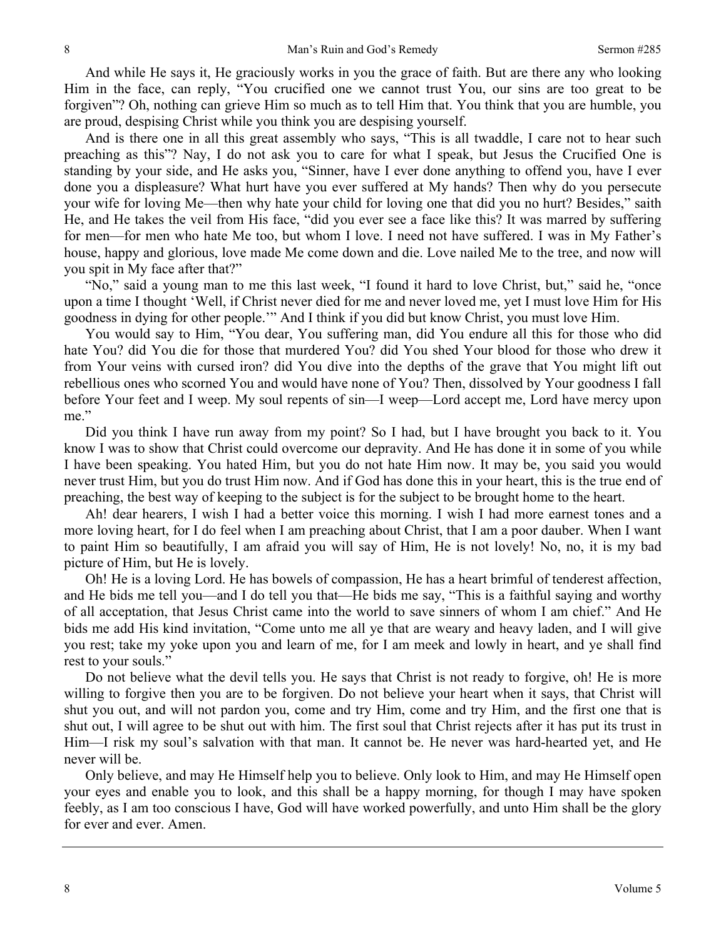And while He says it, He graciously works in you the grace of faith. But are there any who looking Him in the face, can reply, "You crucified one we cannot trust You, our sins are too great to be forgiven"? Oh, nothing can grieve Him so much as to tell Him that. You think that you are humble, you are proud, despising Christ while you think you are despising yourself.

And is there one in all this great assembly who says, "This is all twaddle, I care not to hear such preaching as this"? Nay, I do not ask you to care for what I speak, but Jesus the Crucified One is standing by your side, and He asks you, "Sinner, have I ever done anything to offend you, have I ever done you a displeasure? What hurt have you ever suffered at My hands? Then why do you persecute your wife for loving Me—then why hate your child for loving one that did you no hurt? Besides," saith He, and He takes the veil from His face, "did you ever see a face like this? It was marred by suffering for men—for men who hate Me too, but whom I love. I need not have suffered. I was in My Father's house, happy and glorious, love made Me come down and die. Love nailed Me to the tree, and now will you spit in My face after that?"

"No," said a young man to me this last week, "I found it hard to love Christ, but," said he, "once upon a time I thought 'Well, if Christ never died for me and never loved me, yet I must love Him for His goodness in dying for other people.'" And I think if you did but know Christ, you must love Him.

You would say to Him, "You dear, You suffering man, did You endure all this for those who did hate You? did You die for those that murdered You? did You shed Your blood for those who drew it from Your veins with cursed iron? did You dive into the depths of the grave that You might lift out rebellious ones who scorned You and would have none of You? Then, dissolved by Your goodness I fall before Your feet and I weep. My soul repents of sin—I weep—Lord accept me, Lord have mercy upon me."

Did you think I have run away from my point? So I had, but I have brought you back to it. You know I was to show that Christ could overcome our depravity. And He has done it in some of you while I have been speaking. You hated Him, but you do not hate Him now. It may be, you said you would never trust Him, but you do trust Him now. And if God has done this in your heart, this is the true end of preaching, the best way of keeping to the subject is for the subject to be brought home to the heart.

Ah! dear hearers, I wish I had a better voice this morning. I wish I had more earnest tones and a more loving heart, for I do feel when I am preaching about Christ, that I am a poor dauber. When I want to paint Him so beautifully, I am afraid you will say of Him, He is not lovely! No, no, it is my bad picture of Him, but He is lovely.

Oh! He is a loving Lord. He has bowels of compassion, He has a heart brimful of tenderest affection, and He bids me tell you—and I do tell you that—He bids me say, "This is a faithful saying and worthy of all acceptation, that Jesus Christ came into the world to save sinners of whom I am chief." And He bids me add His kind invitation, "Come unto me all ye that are weary and heavy laden, and I will give you rest; take my yoke upon you and learn of me, for I am meek and lowly in heart, and ye shall find rest to your souls."

Do not believe what the devil tells you. He says that Christ is not ready to forgive, oh! He is more willing to forgive then you are to be forgiven. Do not believe your heart when it says, that Christ will shut you out, and will not pardon you, come and try Him, come and try Him, and the first one that is shut out, I will agree to be shut out with him. The first soul that Christ rejects after it has put its trust in Him—I risk my soul's salvation with that man. It cannot be. He never was hard-hearted yet, and He never will be.

Only believe, and may He Himself help you to believe. Only look to Him, and may He Himself open your eyes and enable you to look, and this shall be a happy morning, for though I may have spoken feebly, as I am too conscious I have, God will have worked powerfully, and unto Him shall be the glory for ever and ever. Amen.